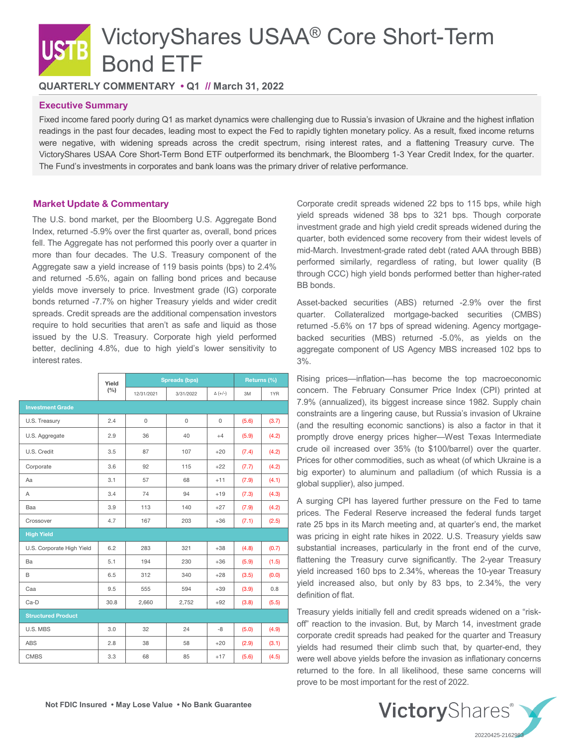# VictoryShares USAA® Core Short-Term Bond ETF

**QUARTERLY COMMENTARY • Q1 // March 31, 2022**

## **Executive Summary**

Fixed income fared poorly during Q1 as market dynamics were challenging due to Russia's invasion of Ukraine and the highest inflation readings in the past four decades, leading most to expect the Fed to rapidly tighten monetary policy. As a result, fixed income returns were negative, with widening spreads across the credit spectrum, rising interest rates, and a flattening Treasury curve. The VictoryShares USAA Core Short-Term Bond ETF outperformed its benchmark, the Bloomberg 1-3 Year Credit Index, for the quarter. The Fund's investments in corporates and bank loans was the primary driver of relative performance.

# Market Update & Commentary

The U.S. bond market, per the Bloomberg U.S. Aggregate Bond Index, returned -5.9% over the first quarter as, overall, bond prices fell. The Aggregate has not performed this poorly over a quarter in more than four decades. The U.S. Treasury component of the Aggregate saw a yield increase of 119 basis points (bps) to 2.4% and returned -5.6%, again on falling bond prices and because yields move inversely to price. Investment grade (IG) corporate bonds returned -7.7% on higher Treasury yields and wider credit spreads. Credit spreads are the additional compensation investors require to hold securities that aren't as safe and liquid as those issued by the U.S. Treasury. Corporate high yield performed better, declining 4.8%, due to high yield's lower sensitivity to interest rates.

|                           | Yield | <b>Spreads (bps)</b> |             |                | Returns (%) |       |
|---------------------------|-------|----------------------|-------------|----------------|-------------|-------|
|                           | (%)   | 12/31/2021           | 3/31/2022   | $\Delta (+/-)$ | 3M          | 1YR   |
| <b>Investment Grade</b>   |       |                      |             |                |             |       |
| U.S. Treasury             | 2.4   | $\mathbf 0$          | $\mathbf 0$ | 0              | (5.6)       | (3.7) |
| U.S. Aggregate            | 2.9   | 36                   | 40          | $+4$           | (5.9)       | (4.2) |
| U.S. Credit               | 3.5   | 87                   | 107         | $+20$          | (7.4)       | (4.2) |
| Corporate                 | 3.6   | 92                   | 115         | $+22$          | (7.7)       | (4.2) |
| Aa                        | 3.1   | 57                   | 68          | $+11$          | (7.9)       | (4.1) |
| A                         | 3.4   | 74                   | 94          | $+19$          | (7.3)       | (4.3) |
| Baa                       | 3.9   | 113                  | 140         | $+27$          | (7.9)       | (4.2) |
| Crossover                 | 4.7   | 167                  | 203         | $+36$          | (7.1)       | (2.5) |
| <b>High Yield</b>         |       |                      |             |                |             |       |
| U.S. Corporate High Yield | 6.2   | 283                  | 321         | $+38$          | (4.8)       | (0.7) |
| Ba                        | 5.1   | 194                  | 230         | $+36$          | (5.9)       | (1.5) |
| B                         | 6.5   | 312                  | 340         | $+28$          | (3.5)       | (0.0) |
| Caa                       | 9.5   | 555                  | 594         | $+39$          | (3.9)       | 0.8   |
| Ca-D                      | 30.8  | 2,660                | 2,752       | $+92$          | (3.8)       | (5.5) |
| <b>Structured Product</b> |       |                      |             |                |             |       |
| U.S. MBS                  | 3.0   | 32                   | 24          | -8             | (5.0)       | (4.9) |
| <b>ABS</b>                | 2.8   | 38                   | 58          | $+20$          | (2.9)       | (3.1) |
| <b>CMBS</b>               | 3.3   | 68                   | 85          | $+17$          | (5.6)       | (4.5) |

Corporate credit spreads widened 22 bps to 115 bps, while high yield spreads widened 38 bps to 321 bps. Though corporate investment grade and high yield credit spreads widened during the quarter, both evidenced some recovery from their widest levels of mid-March. Investment-grade rated debt (rated AAA through BBB) performed similarly, regardless of rating, but lower quality (B through CCC) high yield bonds performed better than higher-rated BB bonds.

Asset-backed securities (ABS) returned -2.9% over the first quarter. Collateralized mortgage-backed securities (CMBS) returned -5.6% on 17 bps of spread widening. Agency mortgagebacked securities (MBS) returned -5.0%, as yields on the aggregate component of US Agency MBS increased 102 bps to 3%.

Rising prices—inflation—has become the top macroeconomic concern. The February Consumer Price Index (CPI) printed at 7.9% (annualized), its biggest increase since 1982. Supply chain constraints are a lingering cause, but Russia's invasion of Ukraine (and the resulting economic sanctions) is also a factor in that it promptly drove energy prices higher—West Texas Intermediate crude oil increased over 35% (to \$100/barrel) over the quarter. Prices for other commodities, such as wheat (of which Ukraine is a big exporter) to aluminum and palladium (of which Russia is a global supplier), also jumped.

A surging CPI has layered further pressure on the Fed to tame prices. The Federal Reserve increased the federal funds target rate 25 bps in its March meeting and, at quarter's end, the market was pricing in eight rate hikes in 2022. U.S. Treasury yields saw substantial increases, particularly in the front end of the curve, flattening the Treasury curve significantly. The 2-year Treasury yield increased 160 bps to 2.34%, whereas the 10-year Treasury yield increased also, but only by 83 bps, to 2.34%, the very definition of flat.

Treasury yields initially fell and credit spreads widened on a "riskoff" reaction to the invasion. But, by March 14, investment grade corporate credit spreads had peaked for the quarter and Treasury yields had resumed their climb such that, by quarter-end, they were well above yields before the invasion as inflationary concerns returned to the fore. In all likelihood, these same concerns will prove to be most important for the rest of 2022.

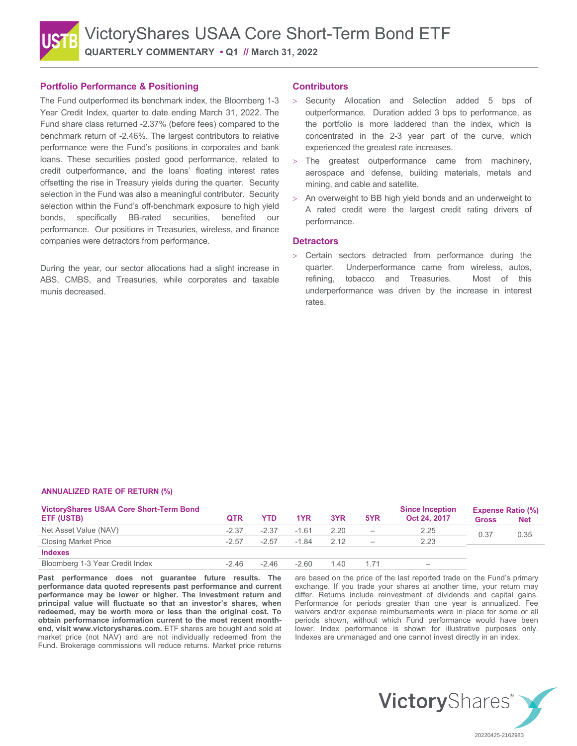## **Portfolio Performance & Positioning**

The Fund outperformed its benchmark index, the Bloomberg 1-3 Year Credit Index, quarter to date ending March 31, 2022. The Fund share class returned -2.37% (before fees) compared to the benchmark return of -2.46%. The largest contributors to relative performance were the Fund's positions in corporates and bank loans. These securities posted good performance, related to credit outperformance, and the loans' floating interest rates offsetting the rise in Treasury yields during the quarter. Security selection in the Fund was also a meaningful contributor. Security selection within the Fund's off-benchmark exposure to high yield bonds, specifically BB-rated securities, benefited our performance. Our positions in Treasuries, wireless, and finance companies were detractors from performance.

During the year, our sector allocations had a slight increase in ABS, CMBS, and Treasuries, while corporates and taxable munis decreased.

### **Contributors**

- > Security Allocation and Selection added 5 bps of outperformance. Duration added 3 bps to performance, as the portfolio is more laddered than the index, which is concentrated in the 2-3 year part of the curve, which experienced the greatest rate increases.
- > The greatest outperformance came from machinery, aerospace and defense, building materials, metals and mining, and cable and satellite.
- An overweight to BB high yield bonds and an underweight to A rated credit were the largest credit rating drivers of performance.

#### **Detractors**

> Certain sectors detracted from performance during the quarter. Underperformance came from wireless, autos, refining, tobacco and Treasuries. Most of this underperformance was driven by the increase in interest rates.

#### **ANNUALIZED RATE OF RETURN (%)**

| <b>VictoryShares USAA Core Short-Term Bond</b> |            |         |         |       |                          | <b>Since Inception</b> | <b>Expense Ratio (%)</b> |            |
|------------------------------------------------|------------|---------|---------|-------|--------------------------|------------------------|--------------------------|------------|
| ETF (USTB)                                     | <b>QTR</b> | YTD.    | 1YR     | 3YR   | 5YR                      | Oct 24, 2017           | <b>Gross</b>             | <b>Net</b> |
| Net Asset Value (NAV)                          | $-2.37$    | $-2.37$ | $-1.61$ | 2.20  | $\overline{\phantom{m}}$ | 2.25                   | 0.37<br>0.35             |            |
| <b>Closing Market Price</b>                    | $-2.57$    | $-2.57$ | $-1.84$ | 2 1 2 | $\equiv$                 | 2.23                   |                          |            |
| <b>Indexes</b>                                 |            |         |         |       |                          |                        |                          |            |
| Bloomberg 1-3 Year Credit Index                | $-246$     | $-246$  | $-260$  | 1.40  |                          | $\hspace{0.05cm}$      |                          |            |

**Past performance does not guarantee future results. The performance data quoted represents past performance and current performance may be lower or higher. The investment return and principal value will fluctuate so that an investor's shares, when redeemed, may be worth more or less than the original cost. To obtain performance information current to the most recent monthend, visit www.victoryshares.com.** ETF shares are bought and sold at market price (not NAV) and are not individually redeemed from the Fund. Brokerage commissions will reduce returns. Market price returns

are based on the price of the last reported trade on the Fund's primary exchange. If you trade your shares at another time, your return may differ. Returns include reinvestment of dividends and capital gains. Performance for periods greater than one year is annualized. Fee waivers and/or expense reimbursements were in place for some or all periods shown, without which Fund performance would have been lower. Index performance is shown for illustrative purposes only. Indexes are unmanaged and one cannot invest directly in an index.